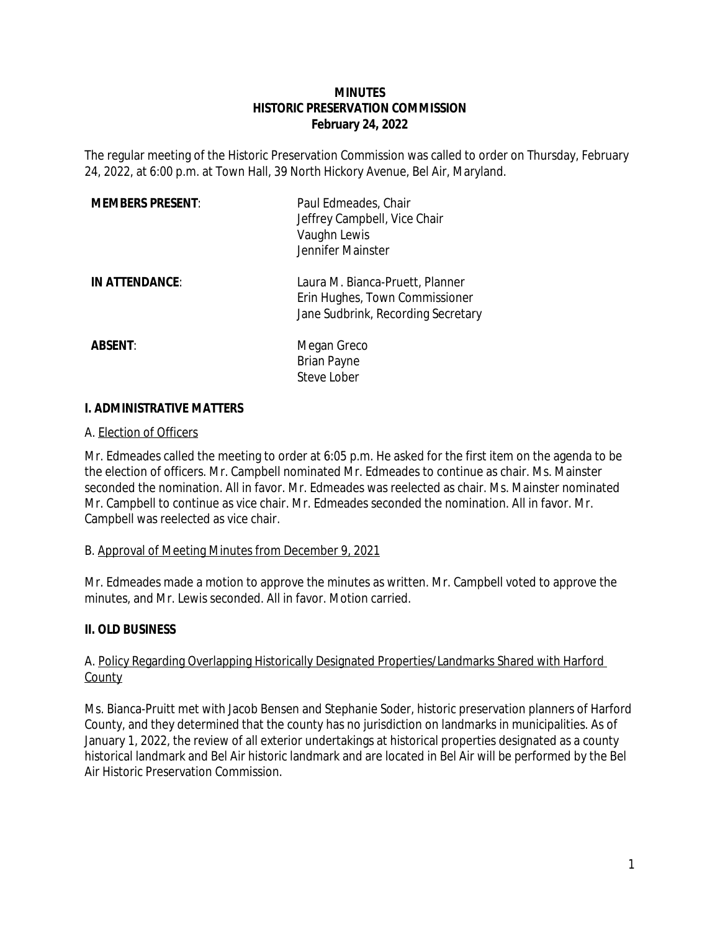## **MINUTES HISTORIC PRESERVATION COMMISSION February 24, 2022**

The regular meeting of the Historic Preservation Commission was called to order on Thursday, February 24, 2022, at 6:00 p.m. at Town Hall, 39 North Hickory Avenue, Bel Air, Maryland.

| <b>MEMBERS PRESENT:</b> | Paul Edmeades, Chair<br>Jeffrey Campbell, Vice Chair<br>Vaughn Lewis<br>Jennifer Mainster               |
|-------------------------|---------------------------------------------------------------------------------------------------------|
| IN ATTENDANCE:          | Laura M. Bianca-Pruett, Planner<br>Erin Hughes, Town Commissioner<br>Jane Sudbrink, Recording Secretary |
| <b>ABSENT:</b>          | Megan Greco<br><b>Brian Payne</b><br>Steve Lober                                                        |

## **I. ADMINISTRATIVE MATTERS**

## A. Election of Officers

Mr. Edmeades called the meeting to order at 6:05 p.m. He asked for the first item on the agenda to be the election of officers. Mr. Campbell nominated Mr. Edmeades to continue as chair. Ms. Mainster seconded the nomination. All in favor. Mr. Edmeades was reelected as chair. Ms. Mainster nominated Mr. Campbell to continue as vice chair. Mr. Edmeades seconded the nomination. All in favor. Mr. Campbell was reelected as vice chair.

## B. Approval of Meeting Minutes from December 9, 2021

Mr. Edmeades made a motion to approve the minutes as written. Mr. Campbell voted to approve the minutes, and Mr. Lewis seconded. All in favor. Motion carried.

## **II. OLD BUSINESS**

## A. Policy Regarding Overlapping Historically Designated Properties/Landmarks Shared with Harford County

Ms. Bianca-Pruitt met with Jacob Bensen and Stephanie Soder, historic preservation planners of Harford County, and they determined that the county has no jurisdiction on landmarks in municipalities. As of January 1, 2022, the review of all exterior undertakings at historical properties designated as a county historical landmark and Bel Air historic landmark and are located in Bel Air will be performed by the Bel Air Historic Preservation Commission.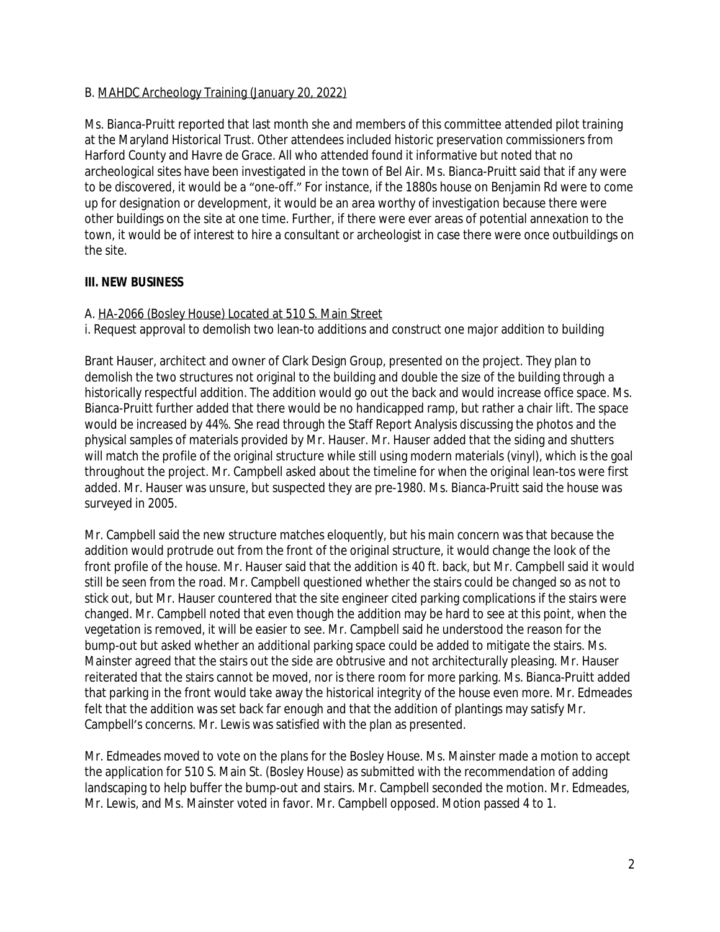## B. MAHDC Archeology Training (January 20, 2022)

Ms. Bianca-Pruitt reported that last month she and members of this committee attended pilot training at the Maryland Historical Trust. Other attendees included historic preservation commissioners from Harford County and Havre de Grace. All who attended found it informative but noted that no archeological sites have been investigated in the town of Bel Air. Ms. Bianca-Pruitt said that if any were to be discovered, it would be a "one-off." For instance, if the 1880s house on Benjamin Rd were to come up for designation or development, it would be an area worthy of investigation because there were other buildings on the site at one time. Further, if there were ever areas of potential annexation to the town, it would be of interest to hire a consultant or archeologist in case there were once outbuildings on the site.

## **III. NEW BUSINESS**

A. HA-2066 (Bosley House) Located at 510 S. Main Street

i. Request approval to demolish two lean-to additions and construct one major addition to building

Brant Hauser, architect and owner of Clark Design Group, presented on the project. They plan to demolish the two structures not original to the building and double the size of the building through a historically respectful addition. The addition would go out the back and would increase office space. Ms. Bianca-Pruitt further added that there would be no handicapped ramp, but rather a chair lift. The space would be increased by 44%. She read through the Staff Report Analysis discussing the photos and the physical samples of materials provided by Mr. Hauser. Mr. Hauser added that the siding and shutters will match the profile of the original structure while still using modern materials (vinyl), which is the goal throughout the project. Mr. Campbell asked about the timeline for when the original lean-tos were first added. Mr. Hauser was unsure, but suspected they are pre-1980. Ms. Bianca-Pruitt said the house was surveyed in 2005.

Mr. Campbell said the new structure matches eloquently, but his main concern was that because the addition would protrude out from the front of the original structure, it would change the look of the front profile of the house. Mr. Hauser said that the addition is 40 ft. back, but Mr. Campbell said it would still be seen from the road. Mr. Campbell questioned whether the stairs could be changed so as not to stick out, but Mr. Hauser countered that the site engineer cited parking complications if the stairs were changed. Mr. Campbell noted that even though the addition may be hard to see at this point, when the vegetation is removed, it will be easier to see. Mr. Campbell said he understood the reason for the bump-out but asked whether an additional parking space could be added to mitigate the stairs. Ms. Mainster agreed that the stairs out the side are obtrusive and not architecturally pleasing. Mr. Hauser reiterated that the stairs cannot be moved, nor is there room for more parking. Ms. Bianca-Pruitt added that parking in the front would take away the historical integrity of the house even more. Mr. Edmeades felt that the addition was set back far enough and that the addition of plantings may satisfy Mr. Campbell's concerns. Mr. Lewis was satisfied with the plan as presented.

Mr. Edmeades moved to vote on the plans for the Bosley House. Ms. Mainster made a motion to accept the application for 510 S. Main St. (Bosley House) as submitted with the recommendation of adding landscaping to help buffer the bump-out and stairs. Mr. Campbell seconded the motion. Mr. Edmeades, Mr. Lewis, and Ms. Mainster voted in favor. Mr. Campbell opposed. Motion passed 4 to 1.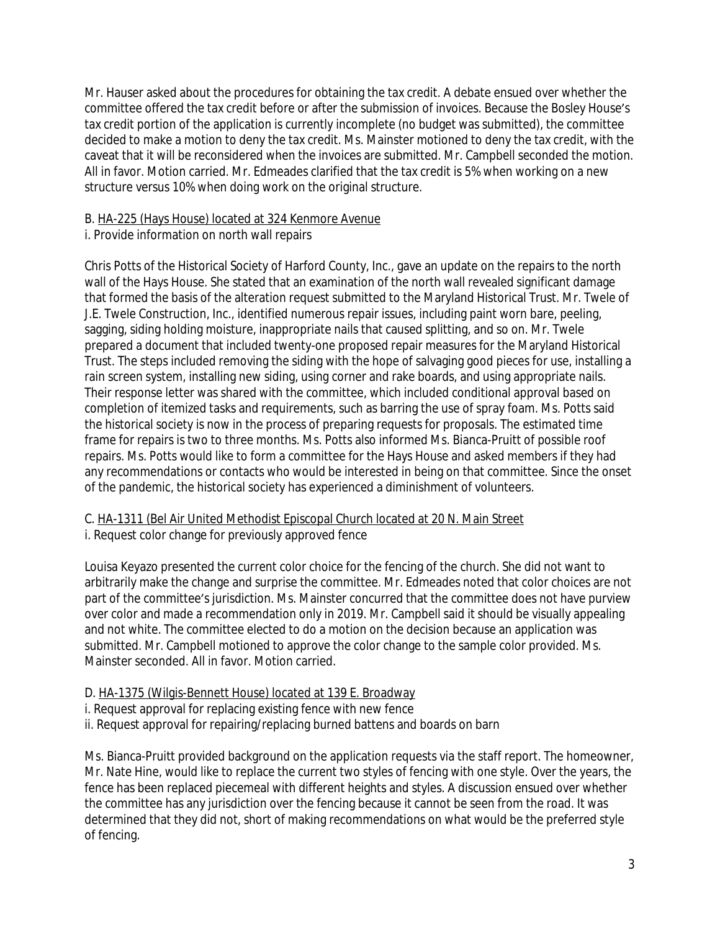Mr. Hauser asked about the procedures for obtaining the tax credit. A debate ensued over whether the committee offered the tax credit before or after the submission of invoices. Because the Bosley House's tax credit portion of the application is currently incomplete (no budget was submitted), the committee decided to make a motion to deny the tax credit. Ms. Mainster motioned to deny the tax credit, with the caveat that it will be reconsidered when the invoices are submitted. Mr. Campbell seconded the motion. All in favor. Motion carried. Mr. Edmeades clarified that the tax credit is 5% when working on a new structure versus 10% when doing work on the original structure.

## B. HA-225 (Hays House) located at 324 Kenmore Avenue

## i. Provide information on north wall repairs

Chris Potts of the Historical Society of Harford County, Inc., gave an update on the repairs to the north wall of the Hays House. She stated that an examination of the north wall revealed significant damage that formed the basis of the alteration request submitted to the Maryland Historical Trust. Mr. Twele of J.E. Twele Construction, Inc., identified numerous repair issues, including paint worn bare, peeling, sagging, siding holding moisture, inappropriate nails that caused splitting, and so on. Mr. Twele prepared a document that included twenty-one proposed repair measures for the Maryland Historical Trust. The steps included removing the siding with the hope of salvaging good pieces for use, installing a rain screen system, installing new siding, using corner and rake boards, and using appropriate nails. Their response letter was shared with the committee, which included conditional approval based on completion of itemized tasks and requirements, such as barring the use of spray foam. Ms. Potts said the historical society is now in the process of preparing requests for proposals. The estimated time frame for repairs is two to three months. Ms. Potts also informed Ms. Bianca-Pruitt of possible roof repairs. Ms. Potts would like to form a committee for the Hays House and asked members if they had any recommendations or contacts who would be interested in being on that committee. Since the onset of the pandemic, the historical society has experienced a diminishment of volunteers.

# C. HA-1311 (Bel Air United Methodist Episcopal Church located at 20 N. Main Street

## i. Request color change for previously approved fence

Louisa Keyazo presented the current color choice for the fencing of the church. She did not want to arbitrarily make the change and surprise the committee. Mr. Edmeades noted that color choices are not part of the committee's jurisdiction. Ms. Mainster concurred that the committee does not have purview over color and made a recommendation only in 2019. Mr. Campbell said it should be visually appealing and not white. The committee elected to do a motion on the decision because an application was submitted. Mr. Campbell motioned to approve the color change to the sample color provided. Ms. Mainster seconded. All in favor. Motion carried.

## D. HA-1375 (Wilgis-Bennett House) located at 139 E. Broadway

- i. Request approval for replacing existing fence with new fence
- ii. Request approval for repairing/replacing burned battens and boards on barn

Ms. Bianca-Pruitt provided background on the application requests via the staff report. The homeowner, Mr. Nate Hine, would like to replace the current two styles of fencing with one style. Over the years, the fence has been replaced piecemeal with different heights and styles. A discussion ensued over whether the committee has any jurisdiction over the fencing because it cannot be seen from the road. It was determined that they did not, short of making recommendations on what would be the preferred style of fencing.